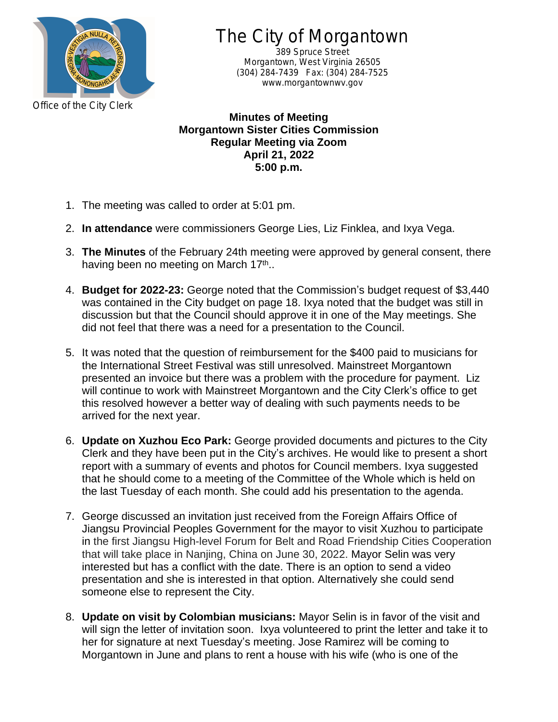

The City of Morgantown

389 Spruce Street Morgantown, West Virginia 26505 (304) 284-7439 Fax: (304) 284-7525 www.morgantownwv.gov

**Minutes of Meeting Morgantown Sister Cities Commission Regular Meeting via Zoom April 21, 2022 5:00 p.m.**

- 1. The meeting was called to order at 5:01 pm.
- 2. **In attendance** were commissioners George Lies, Liz Finklea, and Ixya Vega.
- 3. **The Minutes** of the February 24th meeting were approved by general consent, there having been no meeting on March 17<sup>th</sup>..
- 4. **Budget for 2022-23:** George noted that the Commission's budget request of \$3,440 was contained in the City budget on page 18. Ixya noted that the budget was still in discussion but that the Council should approve it in one of the May meetings. She did not feel that there was a need for a presentation to the Council.
- 5. It was noted that the question of reimbursement for the \$400 paid to musicians for the International Street Festival was still unresolved. Mainstreet Morgantown presented an invoice but there was a problem with the procedure for payment. Liz will continue to work with Mainstreet Morgantown and the City Clerk's office to get this resolved however a better way of dealing with such payments needs to be arrived for the next year.
- 6. **Update on Xuzhou Eco Park:** George provided documents and pictures to the City Clerk and they have been put in the City's archives. He would like to present a short report with a summary of events and photos for Council members. Ixya suggested that he should come to a meeting of the Committee of the Whole which is held on the last Tuesday of each month. She could add his presentation to the agenda.
- 7. George discussed an invitation just received from the Foreign Affairs Office of Jiangsu Provincial Peoples Government for the mayor to visit Xuzhou to participate in the first Jiangsu High-level Forum for Belt and Road Friendship Cities Cooperation that will take place in Nanjing, China on June 30, 2022. Mayor Selin was very interested but has a conflict with the date. There is an option to send a video presentation and she is interested in that option. Alternatively she could send someone else to represent the City.
- 8. **Update on visit by Colombian musicians:** Mayor Selin is in favor of the visit and will sign the letter of invitation soon. Ixya volunteered to print the letter and take it to her for signature at next Tuesday's meeting. Jose Ramirez will be coming to Morgantown in June and plans to rent a house with his wife (who is one of the